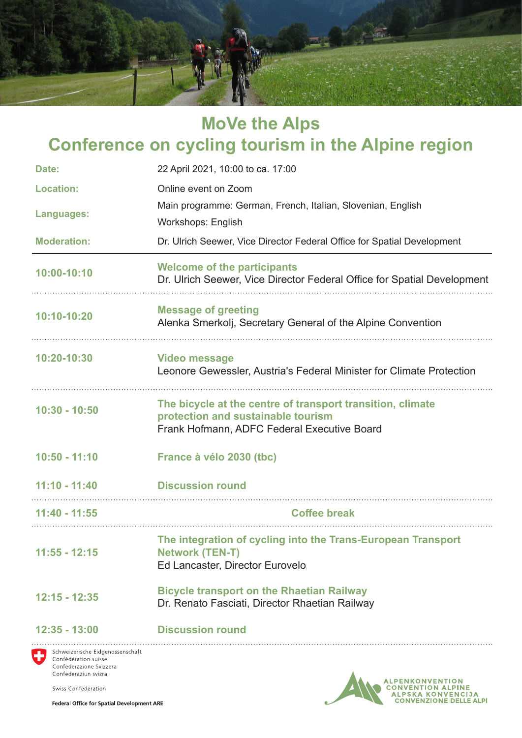

# **MoVe the Alps Conference on cycling tourism in the Alpine region Date:** 22 April 2021, 10:00 to ca. 17:00 **Location:** Online event on Zoom **Languages:** Main programme: German, French, Italian, Slovenian, English Workshops: English **Moderation:** Dr. Ulrich Seewer, Vice Director Federal Office for Spatial Development

**10:00-10:10 Welcome of the participants** Dr. Ulrich Seewer, Vice Director Federal Office for Spatial Development

## **10:10-10:20 Message of greeting** Alenka Smerkolj, Secretary General of the Alpine Convention

**10:20-10:30 Video message** Leonore Gewessler, Austria's Federal Minister for Climate Protection

#### **10:30 - 10:50 The bicycle at the centre of transport transition, climate protection and sustainable tourism** Frank Hofmann, ADFC Federal Executive Board

- **10:50 11:10 France à vélo 2030 (tbc)**
- **11:10 11:40 Discussion round**

| 11:40 - 11:55 | <b>Coffee break</b> |  |
|---------------|---------------------|--|

#### **11:55 - 12:15 The integration of cycling into the Trans-European Transport Network (TEN-T)** Ed Lancaster, Director Eurovelo

**12:15 - 12:35 Bicycle transport on the Rhaetian Railway** Dr. Renato Fasciati, Director Rhaetian Railway

### **12:35 - 13:00 Discussion round**

Schweizerische Eidgenossenschaft Confédération suisse Confederazione Svizzera Confederaziun svizra

Swiss Confederation

**Federal Office for Spatial Development ARE**